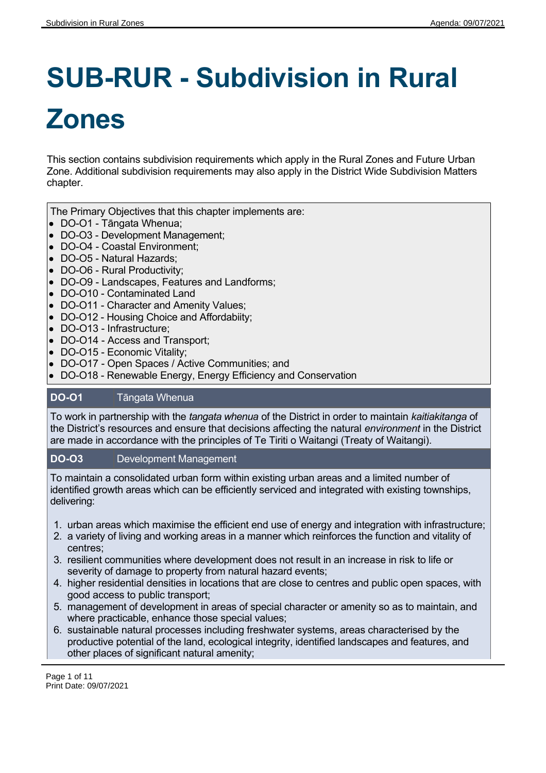# **SUB-RUR - Subdivision in Rural Zones**

This section contains subdivision requirements which apply in the Rural Zones and Future Urban Zone. Additional subdivision requirements may also apply in the District Wide Subdivision Matters chapter.

The Primary Objectives that this chapter implements are:

- DO-O1 Tāngata Whenua;
- DO-O3 Development Management;
- DO-O4 Coastal Environment:
- DO-O5 Natural Hazards;
- DO-O6 Rural Productivity;
- DO-O9 Landscapes, Features and Landforms;
- DO-O10 Contaminated Land
- DO-O11 Character and Amenity Values;
- DO-O12 Housing Choice and Affordabiity;
- DO-O13 Infrastructure;
- DO-O14 Access and Transport;
- DO-O15 Economic Vitality;
- DO-O17 Open Spaces / Active Communities; and
- DO-O18 Renewable Energy, Energy Efficiency and Conservation

# **DO-O1** Tāngata Whenua

To work in partnership with the *tangata whenua* of the District in order to maintain *kaitiakitanga* of the District's resources and ensure that decisions affecting the natural *environment* in the District are made in accordance with the principles of Te Tiriti o Waitangi (Treaty of Waitangi).

# **DO-O3** Development Management

To maintain a consolidated urban form within existing urban areas and a limited number of identified growth areas which can be efficiently serviced and integrated with existing townships, delivering:

- 1. urban areas which maximise the efficient end use of energy and integration with infrastructure;
- 2. a variety of living and working areas in a manner which reinforces the function and vitality of centres;
- 3. resilient communities where development does not result in an increase in risk to life or severity of damage to property from natural hazard events;
- 4. higher residential densities in locations that are close to centres and public open spaces, with good access to public transport;
- 5. management of development in areas of special character or amenity so as to maintain, and where practicable, enhance those special values;
- 6. sustainable natural processes including freshwater systems, areas characterised by the productive potential of the land, ecological integrity, identified landscapes and features, and other places of significant natural amenity;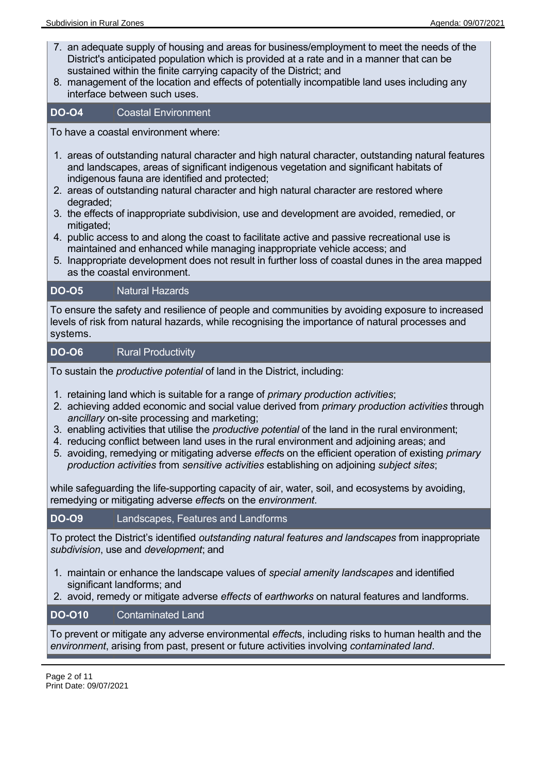- 7. an adequate supply of housing and areas for business/employment to meet the needs of the District's anticipated population which is provided at a rate and in a manner that can be sustained within the finite carrying capacity of the District; and
- 8. management of the location and effects of potentially incompatible land uses including any interface between such uses.

#### **DO-O4** Coastal Environment

To have a coastal environment where:

- 1. areas of outstanding natural character and high natural character, outstanding natural features and landscapes, areas of significant indigenous vegetation and significant habitats of indigenous fauna are identified and protected;
- 2. areas of outstanding natural character and high natural character are restored where degraded;
- 3. the effects of inappropriate subdivision, use and development are avoided, remedied, or mitigated;
- 4. public access to and along the coast to facilitate active and passive recreational use is maintained and enhanced while managing inappropriate vehicle access; and
- 5. Inappropriate development does not result in further loss of coastal dunes in the area mapped as the coastal environment.

#### **DO-O5** Natural Hazards

To ensure the safety and resilience of people and communities by avoiding exposure to increased levels of risk from natural hazards, while recognising the importance of natural processes and systems.

#### **DO-O6** Rural Productivity

To sustain the *productive potential* of land in the District, including:

- 1. retaining land which is suitable for a range of *primary production activities*;
- 2. achieving added economic and social value derived from *primary production activities* through *ancillary* on-site processing and marketing;
- 3. enabling activities that utilise the *productive potential* of the land in the rural environment;
- 4. reducing conflict between land uses in the rural environment and adjoining areas; and
- 5. avoiding, remedying or mitigating adverse *effect*s on the efficient operation of existing *primary production activities* from *sensitive activities* establishing on adjoining *subject sites*;

while safeguarding the life-supporting capacity of air, water, soil, and ecosystems by avoiding, remedying or mitigating adverse *effect*s on the *environment*.

# **DO-O9** Landscapes, Features and Landforms

To protect the District's identified *outstanding natural features and landscapes* from inappropriate *subdivision*, use and *development*; and

- 1. maintain or enhance the landscape values of *special amenity landscapes* and identified significant landforms; and
- 2. avoid, remedy or mitigate adverse *effects* of *earthworks* on natural features and landforms.

# **DO-O10** Contaminated Land

To prevent or mitigate any adverse environmental *effect*s, including risks to human health and the *environment*, arising from past, present or future activities involving *contaminated land*.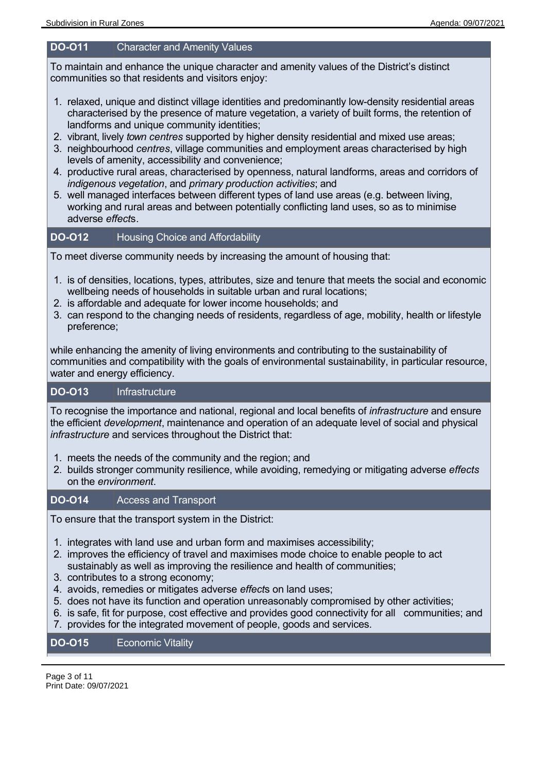#### **DO-O11** Character and Amenity Values

To maintain and enhance the unique character and amenity values of the District's distinct communities so that residents and visitors enjoy:

- 1. relaxed, unique and distinct village identities and predominantly low-density residential areas characterised by the presence of mature vegetation, a variety of built forms, the retention of landforms and unique community identities;
- 2. vibrant, lively *town centres* supported by higher density residential and mixed use areas;
- 3. neighbourhood *centres*, village communities and employment areas characterised by high levels of amenity, accessibility and convenience;
- 4. productive rural areas, characterised by openness, natural landforms, areas and corridors of *indigenous vegetation*, and *primary production activities*; and
- 5. well managed interfaces between different types of land use areas (e.g. between living, working and rural areas and between potentially conflicting land uses, so as to minimise adverse *effect*s.

# **DO-O12** Housing Choice and Affordability

To meet diverse community needs by increasing the amount of housing that:

- 1. is of densities, locations, types, attributes, size and tenure that meets the social and economic wellbeing needs of households in suitable urban and rural locations;
- 2. is affordable and adequate for lower income households; and
- 3. can respond to the changing needs of residents, regardless of age, mobility, health or lifestyle preference;

while enhancing the amenity of living environments and contributing to the sustainability of communities and compatibility with the goals of environmental sustainability, in particular resource, water and energy efficiency.

#### **DO-O13** Infrastructure

To recognise the importance and national, regional and local benefits of *infrastructure* and ensure the efficient *development*, maintenance and operation of an adequate level of social and physical *infrastructure* and services throughout the District that:

- 1. meets the needs of the community and the region; and
- 2. builds stronger community resilience, while avoiding, remedying or mitigating adverse *effects* on the *environment*.

# **DO-O14** Access and Transport

To ensure that the transport system in the District:

- 1. integrates with land use and urban form and maximises accessibility;
- 2. improves the efficiency of travel and maximises mode choice to enable people to act sustainably as well as improving the resilience and health of communities;
- 3. contributes to a strong economy;
- 4. avoids, remedies or mitigates adverse *effect*s on land uses;
- 5. does not have its function and operation unreasonably compromised by other activities;
- 6. is safe, fit for purpose, cost effective and provides good connectivity for all communities; and
- 7. provides for the integrated movement of people, goods and services.

#### **DO-O15** Economic Vitality

Page 3 of 11 Print Date: 09/07/2021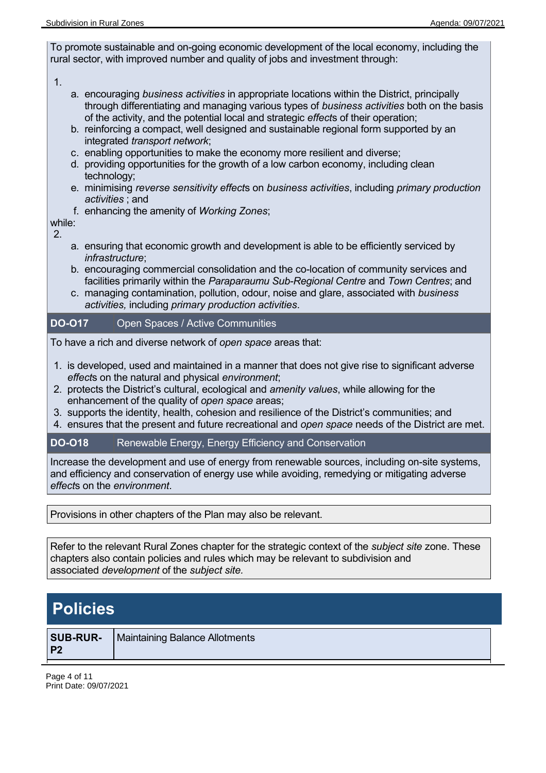To promote sustainable and on-going economic development of the local economy, including the rural sector, with improved number and quality of jobs and investment through:

#### 1.

- a. encouraging *business activities* in appropriate locations within the District, principally through differentiating and managing various types of *business activities* both on the basis of the activity, and the potential local and strategic *effect*s of their operation;
- b. reinforcing a compact, well designed and sustainable regional form supported by an integrated *transport network*;
- c. enabling opportunities to make the economy more resilient and diverse;
- d. providing opportunities for the growth of a low carbon economy, including clean technology;
- e. minimising *reverse sensitivity effect*s on *business activities*, including *primary production activities* ; and
- f. enhancing the amenity of *Working Zones*;

while: 2.

- a. ensuring that economic growth and development is able to be efficiently serviced by *infrastructure*;
- b. encouraging commercial consolidation and the co-location of community services and facilities primarily within the *Paraparaumu Sub-Regional Centre* and *Town Centres*; and
- c. managing contamination, pollution, odour, noise and glare, associated with *business activities,* including *primary production activities*.

**DO-O17** Open Spaces / Active Communities

To have a rich and diverse network of *open space* areas that:

- 1. is developed, used and maintained in a manner that does not give rise to significant adverse *effect*s on the natural and physical *environment*;
- 2. protects the District's cultural, ecological and *amenity values*, while allowing for the enhancement of the quality of *open space* areas;
- 3. supports the identity, health, cohesion and resilience of the District's communities; and
- 4. ensures that the present and future recreational and *open space* needs of the District are met.

# **DO-O18** Renewable Energy, Energy Efficiency and Conservation

Increase the development and use of energy from renewable sources, including on-site systems, and efficiency and conservation of energy use while avoiding, remedying or mitigating adverse *effect*s on the *environment*.

Provisions in other chapters of the Plan may also be relevant.

Refer to the relevant Rural Zones chapter for the strategic context of the *subject site* zone. These chapters also contain policies and rules which may be relevant to subdivision and associated *development* of the *subject site.*

# **Policies**

|                | <b>SUB-RUR-</b>   Maintaining Balance Allotments |
|----------------|--------------------------------------------------|
| P <sub>2</sub> |                                                  |

Page 4 of 11 Print Date: 09/07/2021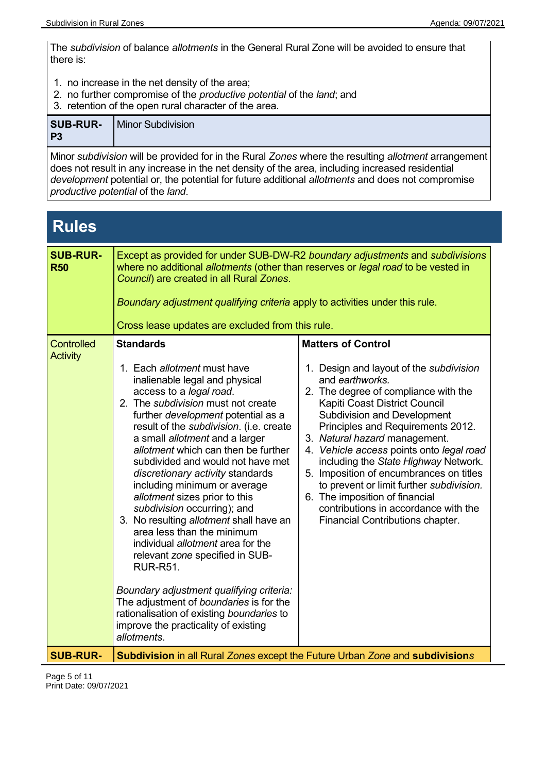The *subdivision* of balance *allotments* in the General Rural Zone will be avoided to ensure that there is:

- 1. no increase in the net density of the area;
- 2. no further compromise of the *productive potential* of the *land*; and
- 3. retention of the open rural character of the area.

| P <sub>3</sub> | <b>SUB-RUR-</b>   Minor Subdivision                                                                 |
|----------------|-----------------------------------------------------------------------------------------------------|
|                | Minor subdivision will be provided for in the Rural Zones where the resulting allotment arrangement |

Minor *subdivision* will be provided for in the Rural *Zones* where the resulting *allotment* arrangement does not result in any increase in the net density of the area, including increased residential *development* potential or, the potential for future additional *allotments* and does not compromise *productive potential* of the *land*.

# **Rules**

| <b>SUB-RUR-</b><br><b>R50</b>        | Except as provided for under SUB-DW-R2 boundary adjustments and subdivisions<br>where no additional allotments (other than reserves or legal road to be vested in<br>Council) are created in all Rural Zones.<br>Boundary adjustment qualifying criteria apply to activities under this rule.<br>Cross lease updates are excluded from this rule.                                                                                                                                                                                                                                                                                                                                                                                                                                                                                                    |                                                                                                                                                                                                                                                                                                                                                                                                                                                                                                                                                                       |
|--------------------------------------|------------------------------------------------------------------------------------------------------------------------------------------------------------------------------------------------------------------------------------------------------------------------------------------------------------------------------------------------------------------------------------------------------------------------------------------------------------------------------------------------------------------------------------------------------------------------------------------------------------------------------------------------------------------------------------------------------------------------------------------------------------------------------------------------------------------------------------------------------|-----------------------------------------------------------------------------------------------------------------------------------------------------------------------------------------------------------------------------------------------------------------------------------------------------------------------------------------------------------------------------------------------------------------------------------------------------------------------------------------------------------------------------------------------------------------------|
| <b>Controlled</b><br><b>Activity</b> | <b>Standards</b><br>1. Each allotment must have<br>inalienable legal and physical<br>access to a legal road.<br>2. The subdivision must not create<br>further development potential as a<br>result of the subdivision. (i.e. create<br>a small allotment and a larger<br>allotment which can then be further<br>subdivided and would not have met<br>discretionary activity standards<br>including minimum or average<br>allotment sizes prior to this<br>subdivision occurring); and<br>3. No resulting allotment shall have an<br>area less than the minimum<br>individual allotment area for the<br>relevant zone specified in SUB-<br><b>RUR-R51.</b><br>Boundary adjustment qualifying criteria:<br>The adjustment of boundaries is for the<br>rationalisation of existing boundaries to<br>improve the practicality of existing<br>allotments. | <b>Matters of Control</b><br>1. Design and layout of the subdivision<br>and earthworks.<br>2. The degree of compliance with the<br>Kapiti Coast District Council<br><b>Subdivision and Development</b><br>Principles and Requirements 2012.<br>3. Natural hazard management.<br>4. Vehicle access points onto legal road<br>including the State Highway Network.<br>5. Imposition of encumbrances on titles<br>to prevent or limit further subdivision.<br>6. The imposition of financial<br>contributions in accordance with the<br>Financial Contributions chapter. |
| <b>SUB-RUR-</b>                      | Subdivision in all Rural Zones except the Future Urban Zone and subdivisions                                                                                                                                                                                                                                                                                                                                                                                                                                                                                                                                                                                                                                                                                                                                                                         |                                                                                                                                                                                                                                                                                                                                                                                                                                                                                                                                                                       |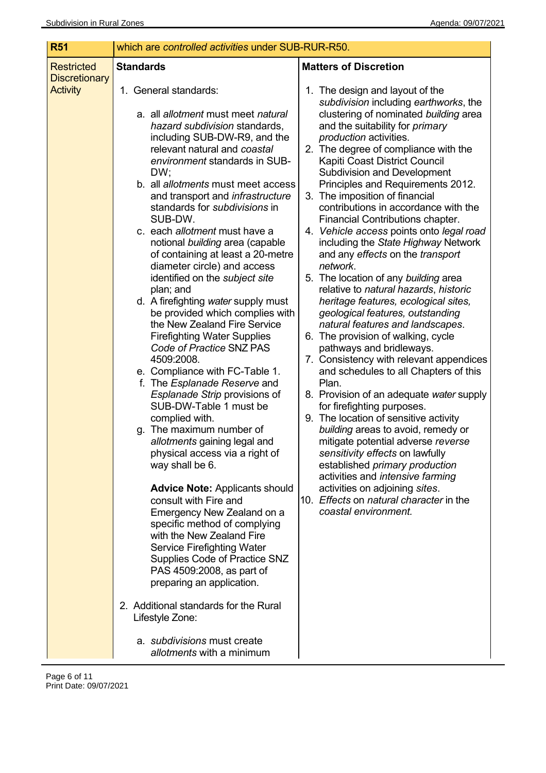| <b>R51</b>                                | which are controlled activities under SUB-RUR-R50.                                                                                                                                                                                                                                                                                                                                                                                                                                                                                                                                                                                                                                                                                                                                                                                                                                                                                                                                                                                                                                                                                                                                                                                                                                                                                                                                                                    |                                                                                                                                                                                                                                                                                                                                                                                                                                                                                                                                                                                                                                                                                                                                                                                                                                                                                                                                                                                                                                                                                                                                                                                                                                                                                                                                                                                |
|-------------------------------------------|-----------------------------------------------------------------------------------------------------------------------------------------------------------------------------------------------------------------------------------------------------------------------------------------------------------------------------------------------------------------------------------------------------------------------------------------------------------------------------------------------------------------------------------------------------------------------------------------------------------------------------------------------------------------------------------------------------------------------------------------------------------------------------------------------------------------------------------------------------------------------------------------------------------------------------------------------------------------------------------------------------------------------------------------------------------------------------------------------------------------------------------------------------------------------------------------------------------------------------------------------------------------------------------------------------------------------------------------------------------------------------------------------------------------------|--------------------------------------------------------------------------------------------------------------------------------------------------------------------------------------------------------------------------------------------------------------------------------------------------------------------------------------------------------------------------------------------------------------------------------------------------------------------------------------------------------------------------------------------------------------------------------------------------------------------------------------------------------------------------------------------------------------------------------------------------------------------------------------------------------------------------------------------------------------------------------------------------------------------------------------------------------------------------------------------------------------------------------------------------------------------------------------------------------------------------------------------------------------------------------------------------------------------------------------------------------------------------------------------------------------------------------------------------------------------------------|
| <b>Restricted</b><br><b>Discretionary</b> | <b>Standards</b>                                                                                                                                                                                                                                                                                                                                                                                                                                                                                                                                                                                                                                                                                                                                                                                                                                                                                                                                                                                                                                                                                                                                                                                                                                                                                                                                                                                                      | <b>Matters of Discretion</b>                                                                                                                                                                                                                                                                                                                                                                                                                                                                                                                                                                                                                                                                                                                                                                                                                                                                                                                                                                                                                                                                                                                                                                                                                                                                                                                                                   |
| <b>Activity</b>                           | 1. General standards:<br>a. all allotment must meet natural<br>hazard subdivision standards,<br>including SUB-DW-R9, and the<br>relevant natural and coastal<br>environment standards in SUB-<br>DW;<br>b. all allotments must meet access<br>and transport and <i>infrastructure</i><br>standards for <i>subdivisions</i> in<br>SUB-DW.<br>c. each allotment must have a<br>notional building area (capable<br>of containing at least a 20-metre<br>diameter circle) and access<br>identified on the subject site<br>plan; and<br>d. A firefighting water supply must<br>be provided which complies with<br>the New Zealand Fire Service<br><b>Firefighting Water Supplies</b><br>Code of Practice SNZ PAS<br>4509:2008.<br>e. Compliance with FC-Table 1.<br>f. The <i>Esplanade Reserve</i> and<br>Esplanade Strip provisions of<br>SUB-DW-Table 1 must be<br>complied with.<br>g. The maximum number of<br>allotments gaining legal and<br>physical access via a right of<br>way shall be 6.<br><b>Advice Note: Applicants should</b><br>consult with Fire and<br>Emergency New Zealand on a<br>specific method of complying<br>with the New Zealand Fire<br><b>Service Firefighting Water</b><br>Supplies Code of Practice SNZ<br>PAS 4509:2008, as part of<br>preparing an application.<br>2. Additional standards for the Rural<br>Lifestyle Zone:<br>a. subdivisions must create<br>allotments with a minimum | 1. The design and layout of the<br>subdivision including earthworks, the<br>clustering of nominated building area<br>and the suitability for <i>primary</i><br><i>production</i> activities.<br>2. The degree of compliance with the<br>Kapiti Coast District Council<br><b>Subdivision and Development</b><br>Principles and Requirements 2012.<br>3. The imposition of financial<br>contributions in accordance with the<br>Financial Contributions chapter.<br>4. Vehicle access points onto legal road<br>including the State Highway Network<br>and any effects on the transport<br>network.<br>5. The location of any building area<br>relative to natural hazards, historic<br>heritage features, ecological sites,<br>geological features, outstanding<br>natural features and landscapes.<br>6. The provision of walking, cycle<br>pathways and bridleways.<br>7. Consistency with relevant appendices<br>and schedules to all Chapters of this<br>Plan.<br>8. Provision of an adequate water supply<br>for firefighting purposes.<br>9. The location of sensitive activity<br>building areas to avoid, remedy or<br>mitigate potential adverse reverse<br>sensitivity effects on lawfully<br>established primary production<br>activities and intensive farming<br>activities on adjoining sites.<br>10. Effects on natural character in the<br>coastal environment. |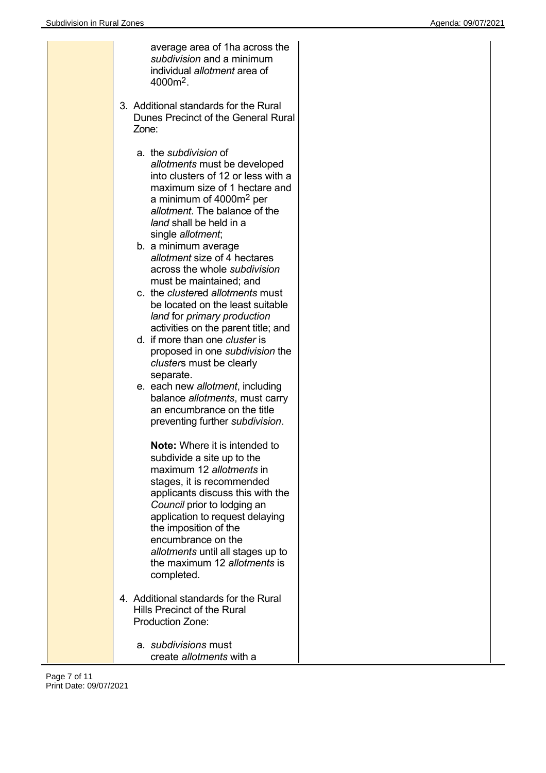| average area of 1ha across the<br>subdivision and a minimum<br>individual allotment area of<br>4000m <sup>2</sup> .                                                                                                                                                                                                                                                                                                                                                                                                                                                                                                                                                                                                                                                         |  |
|-----------------------------------------------------------------------------------------------------------------------------------------------------------------------------------------------------------------------------------------------------------------------------------------------------------------------------------------------------------------------------------------------------------------------------------------------------------------------------------------------------------------------------------------------------------------------------------------------------------------------------------------------------------------------------------------------------------------------------------------------------------------------------|--|
| 3. Additional standards for the Rural<br>Dunes Precinct of the General Rural<br>Zone:                                                                                                                                                                                                                                                                                                                                                                                                                                                                                                                                                                                                                                                                                       |  |
| a. the subdivision of<br>allotments must be developed<br>into clusters of 12 or less with a<br>maximum size of 1 hectare and<br>a minimum of 4000m <sup>2</sup> per<br>allotment. The balance of the<br>land shall be held in a<br>single allotment;<br>b. a minimum average<br>allotment size of 4 hectares<br>across the whole subdivision<br>must be maintained; and<br>c. the clustered allotments must<br>be located on the least suitable<br>land for primary production<br>activities on the parent title; and<br>d. if more than one cluster is<br>proposed in one subdivision the<br>clusters must be clearly<br>separate.<br>e. each new allotment, including<br>balance allotments, must carry<br>an encumbrance on the title<br>preventing further subdivision. |  |
| <b>Note:</b> Where it is intended to<br>subdivide a site up to the<br>maximum 12 allotments in<br>stages, it is recommended<br>applicants discuss this with the<br>Council prior to lodging an<br>application to request delaying<br>the imposition of the<br>encumbrance on the<br>allotments until all stages up to<br>the maximum 12 allotments is<br>completed.<br>4. Additional standards for the Rural<br>Hills Precinct of the Rural<br><b>Production Zone:</b>                                                                                                                                                                                                                                                                                                      |  |
| a. subdivisions must<br>create allotments with a                                                                                                                                                                                                                                                                                                                                                                                                                                                                                                                                                                                                                                                                                                                            |  |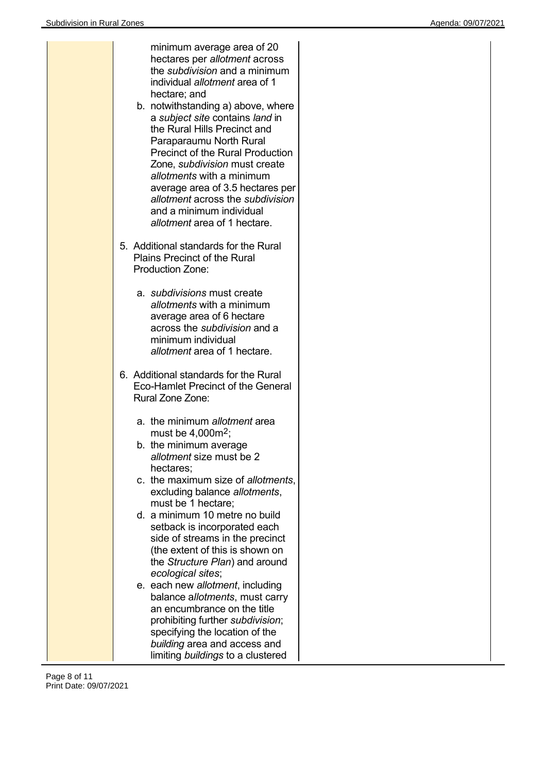| minimum average area of 20<br>hectares per allotment across<br>the <i>subdivision</i> and a minimum<br>individual allotment area of 1<br>hectare; and<br>b. notwithstanding a) above, where<br>a subject site contains land in<br>the Rural Hills Precinct and<br>Paraparaumu North Rural<br><b>Precinct of the Rural Production</b><br>Zone, <i>subdivision</i> must create<br>allotments with a minimum<br>average area of 3.5 hectares per<br>allotment across the subdivision<br>and a minimum individual<br>allotment area of 1 hectare. |
|-----------------------------------------------------------------------------------------------------------------------------------------------------------------------------------------------------------------------------------------------------------------------------------------------------------------------------------------------------------------------------------------------------------------------------------------------------------------------------------------------------------------------------------------------|
| 5. Additional standards for the Rural<br><b>Plains Precinct of the Rural</b><br><b>Production Zone:</b>                                                                                                                                                                                                                                                                                                                                                                                                                                       |
| a. subdivisions must create<br>allotments with a minimum<br>average area of 6 hectare<br>across the subdivision and a<br>minimum individual<br>allotment area of 1 hectare.                                                                                                                                                                                                                                                                                                                                                                   |
| 6. Additional standards for the Rural<br>Eco-Hamlet Precinct of the General<br>Rural Zone Zone:                                                                                                                                                                                                                                                                                                                                                                                                                                               |
| a. the minimum allotment area<br>must be $4,000m^2$ ;<br>b. the minimum average<br>allotment size must be 2<br>hectares:<br>c. the maximum size of allotments,<br>excluding balance allotments,<br>must be 1 hectare;                                                                                                                                                                                                                                                                                                                         |
| d. a minimum 10 metre no build<br>setback is incorporated each<br>side of streams in the precinct<br>(the extent of this is shown on<br>the Structure Plan) and around<br>ecological sites;                                                                                                                                                                                                                                                                                                                                                   |
| e. each new allotment, including<br>balance allotments, must carry<br>an encumbrance on the title<br>prohibiting further subdivision;<br>specifying the location of the<br>building area and access and<br>limiting buildings to a clustered                                                                                                                                                                                                                                                                                                  |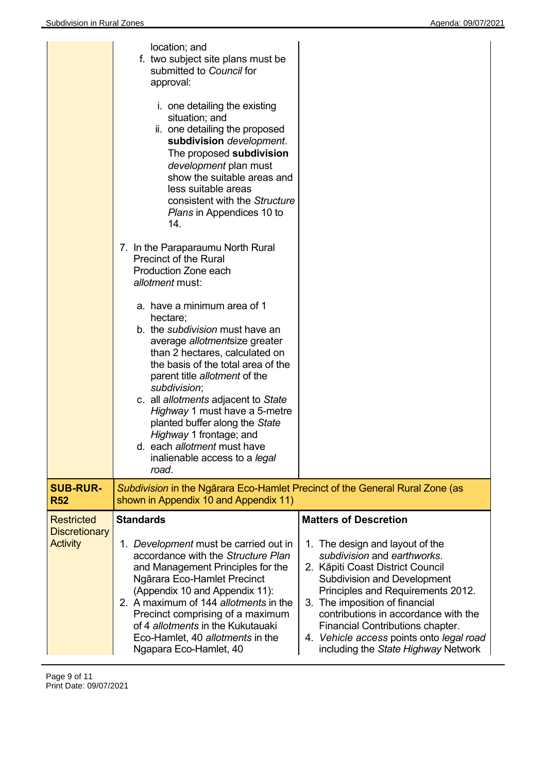|                                                              | location; and<br>f. two subject site plans must be<br>submitted to Council for<br>approval:<br>i. one detailing the existing<br>situation; and<br>ii. one detailing the proposed<br>subdivision development.<br>The proposed subdivision<br>development plan must<br>show the suitable areas and<br>less suitable areas<br>consistent with the Structure<br><i>Plans</i> in Appendices 10 to<br>14.<br>7. In the Paraparaumu North Rural<br><b>Precinct of the Rural</b><br>Production Zone each<br>allotment must:<br>a. have a minimum area of 1<br>hectare;<br>b. the subdivision must have an<br>average allotmentsize greater<br>than 2 hectares, calculated on<br>the basis of the total area of the<br>parent title allotment of the<br>subdivision;<br>c. all allotments adjacent to State<br>Highway 1 must have a 5-metre<br>planted buffer along the State<br>Highway 1 frontage; and<br>d. each allotment must have<br>inalienable access to a legal<br>road. |                                                                                                                                                                                                                                                                                                                                                                                                                |
|--------------------------------------------------------------|---------------------------------------------------------------------------------------------------------------------------------------------------------------------------------------------------------------------------------------------------------------------------------------------------------------------------------------------------------------------------------------------------------------------------------------------------------------------------------------------------------------------------------------------------------------------------------------------------------------------------------------------------------------------------------------------------------------------------------------------------------------------------------------------------------------------------------------------------------------------------------------------------------------------------------------------------------------------------|----------------------------------------------------------------------------------------------------------------------------------------------------------------------------------------------------------------------------------------------------------------------------------------------------------------------------------------------------------------------------------------------------------------|
| <b>SUB-RUR-</b><br><b>R52</b>                                | Subdivision in the Ngārara Eco-Hamlet Precinct of the General Rural Zone (as<br>shown in Appendix 10 and Appendix 11)                                                                                                                                                                                                                                                                                                                                                                                                                                                                                                                                                                                                                                                                                                                                                                                                                                                     |                                                                                                                                                                                                                                                                                                                                                                                                                |
| <b>Restricted</b><br><b>Discretionary</b><br><b>Activity</b> | <b>Standards</b><br>1. Development must be carried out in<br>accordance with the Structure Plan<br>and Management Principles for the<br>Ngārara Eco-Hamlet Precinct<br>(Appendix 10 and Appendix 11):<br>2. A maximum of 144 allotments in the<br>Precinct comprising of a maximum<br>of 4 allotments in the Kukutauaki<br>Eco-Hamlet, 40 allotments in the<br>Ngapara Eco-Hamlet, 40                                                                                                                                                                                                                                                                                                                                                                                                                                                                                                                                                                                     | <b>Matters of Descretion</b><br>1. The design and layout of the<br>subdivision and earthworks.<br>2. Kāpiti Coast District Council<br><b>Subdivision and Development</b><br>Principles and Requirements 2012.<br>3. The imposition of financial<br>contributions in accordance with the<br>Financial Contributions chapter.<br>4. Vehicle access points onto legal road<br>including the State Highway Network |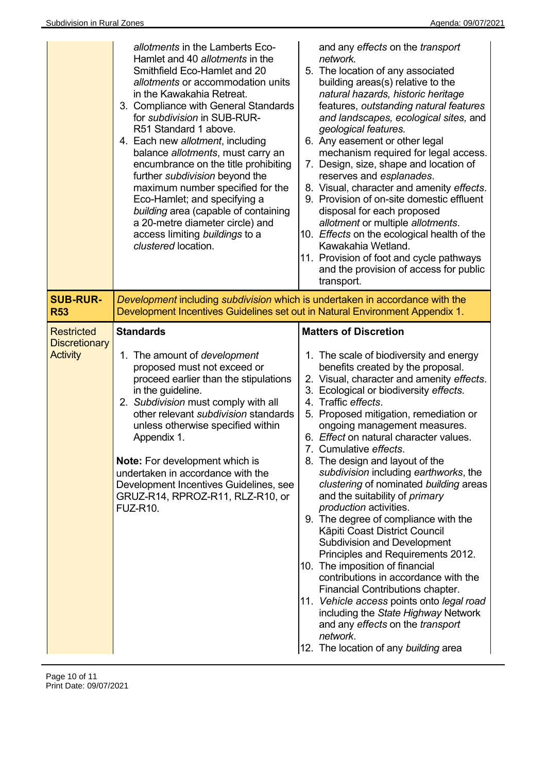|                                                              | allotments in the Lamberts Eco-<br>Hamlet and 40 allotments in the<br>Smithfield Eco-Hamlet and 20<br>allotments or accommodation units<br>in the Kawakahia Retreat.<br>3. Compliance with General Standards<br>for subdivision in SUB-RUR-<br>R51 Standard 1 above.<br>4. Each new allotment, including<br>balance allotments, must carry an<br>encumbrance on the title prohibiting<br>further subdivision beyond the<br>maximum number specified for the<br>Eco-Hamlet; and specifying a<br>building area (capable of containing<br>a 20-metre diameter circle) and<br>access limiting buildings to a<br>clustered location. | and any effects on the transport<br>network.<br>5. The location of any associated<br>building areas(s) relative to the<br>natural hazards, historic heritage<br>features, outstanding natural features<br>and landscapes, ecological sites, and<br>geological features.<br>6. Any easement or other legal<br>mechanism required for legal access.<br>7. Design, size, shape and location of<br>reserves and esplanades.<br>8. Visual, character and amenity effects.<br>9. Provision of on-site domestic effluent<br>disposal for each proposed<br>allotment or multiple allotments.<br>10. Effects on the ecological health of the<br>Kawakahia Wetland.<br>11. Provision of foot and cycle pathways<br>and the provision of access for public<br>transport.                                                                                                                                                                                                                                                     |
|--------------------------------------------------------------|---------------------------------------------------------------------------------------------------------------------------------------------------------------------------------------------------------------------------------------------------------------------------------------------------------------------------------------------------------------------------------------------------------------------------------------------------------------------------------------------------------------------------------------------------------------------------------------------------------------------------------|-------------------------------------------------------------------------------------------------------------------------------------------------------------------------------------------------------------------------------------------------------------------------------------------------------------------------------------------------------------------------------------------------------------------------------------------------------------------------------------------------------------------------------------------------------------------------------------------------------------------------------------------------------------------------------------------------------------------------------------------------------------------------------------------------------------------------------------------------------------------------------------------------------------------------------------------------------------------------------------------------------------------|
| <b>SUB-RUR-</b><br><b>R53</b>                                | Development including subdivision which is undertaken in accordance with the<br>Development Incentives Guidelines set out in Natural Environment Appendix 1.                                                                                                                                                                                                                                                                                                                                                                                                                                                                    |                                                                                                                                                                                                                                                                                                                                                                                                                                                                                                                                                                                                                                                                                                                                                                                                                                                                                                                                                                                                                   |
| <b>Restricted</b><br><b>Discretionary</b><br><b>Activity</b> | <b>Standards</b><br>1. The amount of <i>development</i><br>proposed must not exceed or<br>proceed earlier than the stipulations<br>in the guideline.<br>2. Subdivision must comply with all<br>other relevant subdivision standards<br>unless otherwise specified within<br>Appendix 1.<br>Note: For development which is<br>undertaken in accordance with the<br>Development Incentives Guidelines, see<br>GRUZ-R14, RPROZ-R11, RLZ-R10, or<br><b>FUZ-R10.</b>                                                                                                                                                                 | <b>Matters of Discretion</b><br>1. The scale of biodiversity and energy<br>benefits created by the proposal.<br>2. Visual, character and amenity effects.<br>3. Ecological or biodiversity effects.<br>4. Traffic effects.<br>5. Proposed mitigation, remediation or<br>ongoing management measures.<br>6. Effect on natural character values.<br>7. Cumulative effects.<br>8. The design and layout of the<br>subdivision including earthworks, the<br>clustering of nominated building areas<br>and the suitability of <i>primary</i><br>production activities.<br>9. The degree of compliance with the<br>Kāpiti Coast District Council<br><b>Subdivision and Development</b><br>Principles and Requirements 2012.<br>10. The imposition of financial<br>contributions in accordance with the<br>Financial Contributions chapter.<br>11. Vehicle access points onto legal road<br>including the State Highway Network<br>and any effects on the transport<br>network.<br>12. The location of any building area |